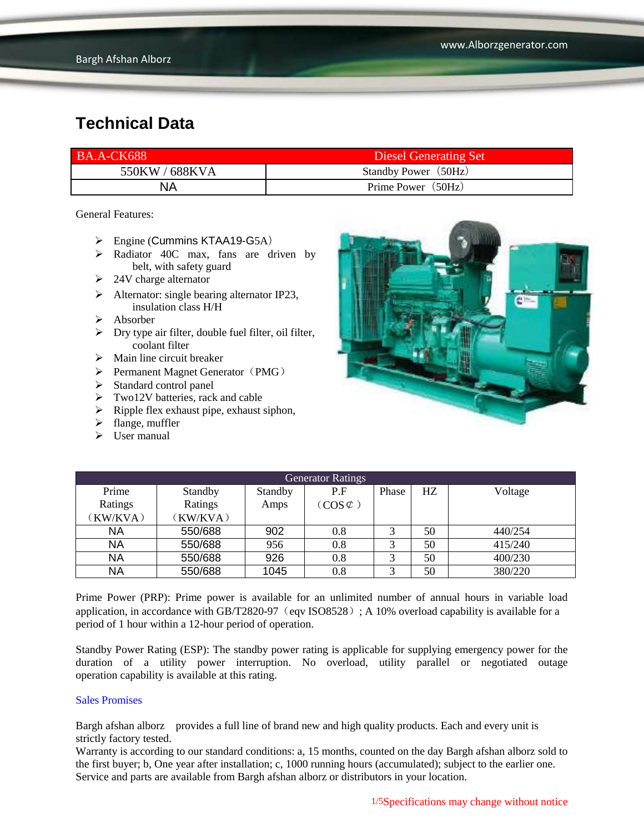| <b>BA.A-CK688</b> | Diesel Generating Set |
|-------------------|-----------------------|
| 550KW / 688KVA    | Standby Power (50Hz)  |
| NA                | Prime Power (50Hz)    |

General Features:

- $\triangleright$  Engine (Cummins KTAA19-G5A)
- Radiator 40C max, fans are driven by belt, with safety guard
- $\geq$  24V charge alternator
- $\triangleright$  Alternator: single bearing alternator IP23, insulation class H/H
- $\triangleright$  Absorber
- $\triangleright$  Dry type air filter, double fuel filter, oil filter, coolant filter
- $\triangleright$  Main line circuit breaker
- $\triangleright$  Permanent Magnet Generator (PMG)
- $\triangleright$  Standard control panel
- $\triangleright$  Two12V batteries, rack and cable
- $\triangleright$  Ripple flex exhaust pipe, exhaust siphon,
- $\blacktriangleright$  flange, muffler
- $\triangleright$  User manual



| <b>Generator Ratings</b> |          |         |                     |       |    |         |
|--------------------------|----------|---------|---------------------|-------|----|---------|
| Prime                    | Standby  | Standby | P.F                 | Phase | HZ | Voltage |
| Ratings                  | Ratings  | Amps    | $(COS \mathcal{L})$ |       |    |         |
| (KW/KVA)                 | (KW/KVA) |         |                     |       |    |         |
| <b>NA</b>                | 550/688  | 902     | 0.8                 |       | 50 | 440/254 |
| <b>NA</b>                | 550/688  | 956     | 0.8                 | 3     | 50 | 415/240 |
| <b>NA</b>                | 550/688  | 926     | 0.8                 |       | 50 | 400/230 |
| <b>NA</b>                | 550/688  | 1045    | 0.8                 | 3     | 50 | 380/220 |

Prime Power (PRP): Prime power is available for an unlimited number of annual hours in variable load application, in accordance with GB/T2820-97 (eqv ISO8528); A 10% overload capability is available for a period of 1 hour within a 12-hour period of operation.

Standby Power Rating (ESP): The standby power rating is applicable for supplying emergency power for the duration of a utility power interruption. No overload, utility parallel or negotiated outage operation capability is available at this rating.

#### Sales Promises

Bargh afshan alborz provides a full line of brand new and high quality products. Each and every unit is strictly factory tested.

Warranty is according to our standard conditions: a, 15 months, counted on the day Bargh afshan alborz sold to the first buyer; b, One year after installation; c, 1000 running hours (accumulated); subject to the earlier one. Service and parts are available from Bargh afshan alborz or distributors in your location.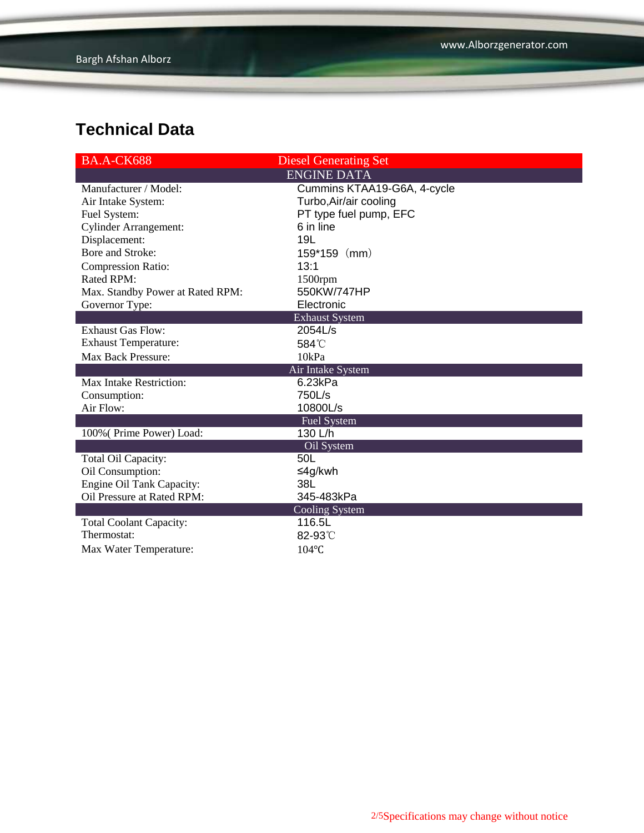| BA.A-CK688                       | <b>Diesel Generating Set</b> |
|----------------------------------|------------------------------|
|                                  | <b>ENGINE DATA</b>           |
| Manufacturer / Model:            | Cummins KTAA19-G6A, 4-cycle  |
| Air Intake System:               | Turbo, Air/air cooling       |
| Fuel System:                     | PT type fuel pump, EFC       |
| <b>Cylinder Arrangement:</b>     | 6 in line                    |
| Displacement:                    | 19L                          |
| Bore and Stroke:                 | $159*159$ (mm)               |
| <b>Compression Ratio:</b>        | 13:1                         |
| Rated RPM:                       | 1500rpm                      |
| Max. Standby Power at Rated RPM: | 550KW/747HP                  |
| Governor Type:                   | Electronic                   |
|                                  | <b>Exhaust System</b>        |
| <b>Exhaust Gas Flow:</b>         | 2054L/s                      |
| <b>Exhaust Temperature:</b>      | 584°C                        |
| <b>Max Back Pressure:</b>        | 10kPa                        |
|                                  | Air Intake System            |
| <b>Max Intake Restriction:</b>   | 6.23kPa                      |
| Consumption:                     | 750L/s                       |
| Air Flow:                        | 10800L/s                     |
|                                  | <b>Fuel System</b>           |
| 100% (Prime Power) Load:         | 130 L/h                      |
|                                  | Oil System                   |
| Total Oil Capacity:              | 50L                          |
| Oil Consumption:                 | ≤4g/kwh                      |
| <b>Engine Oil Tank Capacity:</b> | 38L                          |
| Oil Pressure at Rated RPM:       | 345-483kPa                   |
|                                  | <b>Cooling System</b>        |
| <b>Total Coolant Capacity:</b>   | 116.5L                       |
| Thermostat:                      | 82-93°C                      |
| Max Water Temperature:           | 104°C                        |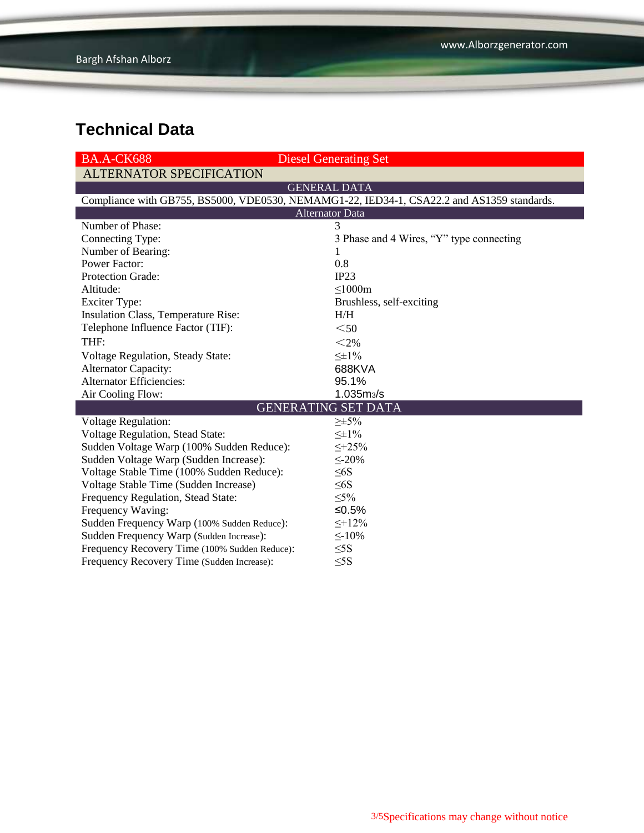| <b>BA.A-CK688</b>                                                                          | <b>Diesel Generating Set</b>             |  |  |  |
|--------------------------------------------------------------------------------------------|------------------------------------------|--|--|--|
| <b>ALTERNATOR SPECIFICATION</b>                                                            |                                          |  |  |  |
|                                                                                            | <b>GENERAL DATA</b>                      |  |  |  |
| Compliance with GB755, BS5000, VDE0530, NEMAMG1-22, IED34-1, CSA22.2 and AS1359 standards. |                                          |  |  |  |
| <b>Alternator Data</b>                                                                     |                                          |  |  |  |
| Number of Phase:                                                                           | 3                                        |  |  |  |
| Connecting Type:                                                                           | 3 Phase and 4 Wires, "Y" type connecting |  |  |  |
| Number of Bearing:                                                                         | $\mathbf{I}$                             |  |  |  |
| <b>Power Factor:</b>                                                                       | 0.8                                      |  |  |  |
| Protection Grade:                                                                          | IP23                                     |  |  |  |
| Altitude:                                                                                  | $\leq 1000m$                             |  |  |  |
| <b>Exciter Type:</b>                                                                       | Brushless, self-exciting                 |  |  |  |
| Insulation Class, Temperature Rise:                                                        | H/H                                      |  |  |  |
| Telephone Influence Factor (TIF):                                                          | $50$                                     |  |  |  |
| THF:                                                                                       | $<$ 2%                                   |  |  |  |
| Voltage Regulation, Steady State:                                                          | $\leq \pm 1\%$                           |  |  |  |
| Alternator Capacity:                                                                       | 688KVA                                   |  |  |  |
| <b>Alternator Efficiencies:</b>                                                            | 95.1%                                    |  |  |  |
| Air Cooling Flow:                                                                          | 1.035m <sub>3</sub> /s                   |  |  |  |
|                                                                                            | <b>GENERATING SET DATA</b>               |  |  |  |
| <b>Voltage Regulation:</b>                                                                 | $\geq \pm 5\%$                           |  |  |  |
| Voltage Regulation, Stead State:                                                           | $\leq \pm 1\%$                           |  |  |  |
| Sudden Voltage Warp (100% Sudden Reduce):                                                  | $\leq +25\%$                             |  |  |  |
| Sudden Voltage Warp (Sudden Increase):                                                     | $\leq$ -20%                              |  |  |  |
| Voltage Stable Time (100% Sudden Reduce):                                                  | $\leq 6S$                                |  |  |  |
| Voltage Stable Time (Sudden Increase)                                                      | $\leq 6S$                                |  |  |  |
| Frequency Regulation, Stead State:                                                         | $\leq 5\%$                               |  |  |  |
| Frequency Waving:                                                                          | $≤0.5%$                                  |  |  |  |
| Sudden Frequency Warp (100% Sudden Reduce):                                                | $\leq +12\%$                             |  |  |  |
| Sudden Frequency Warp (Sudden Increase):                                                   | $\leq$ -10%                              |  |  |  |
| Frequency Recovery Time (100% Sudden Reduce):                                              | $\leq$ 5S                                |  |  |  |
| Frequency Recovery Time (Sudden Increase):                                                 | $\leq$ 5S                                |  |  |  |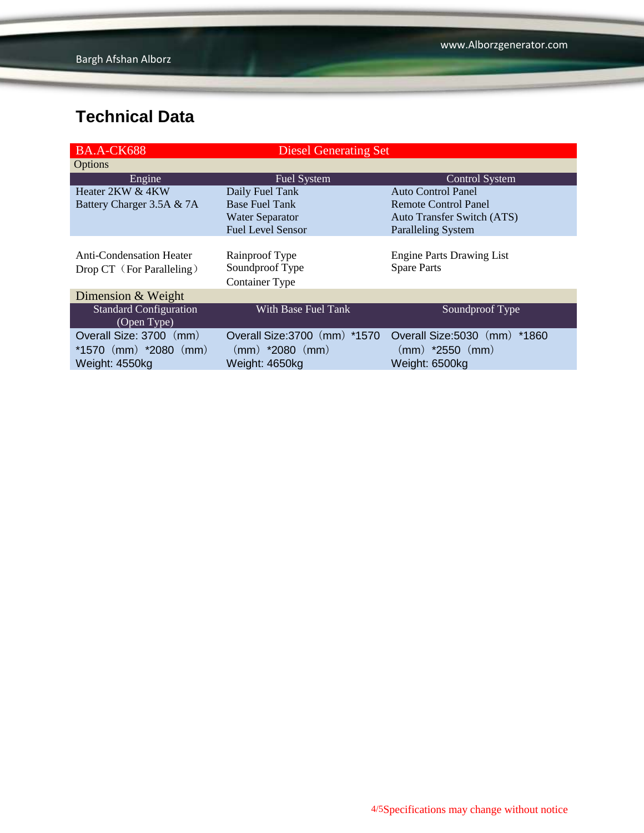| BA.A-CK688                      | <b>Diesel Generating Set</b>  |                                  |
|---------------------------------|-------------------------------|----------------------------------|
| Options                         |                               |                                  |
| Engine                          | Fuel System                   | <b>Control System</b>            |
| Heater 2KW & 4KW                | Daily Fuel Tank               | <b>Auto Control Panel</b>        |
| Battery Charger 3.5A & 7A       | <b>Base Fuel Tank</b>         | Remote Control Panel             |
|                                 | <b>Water Separator</b>        | Auto Transfer Switch (ATS)       |
|                                 | <b>Fuel Level Sensor</b>      | <b>Paralleling System</b>        |
|                                 |                               |                                  |
| <b>Anti-Condensation Heater</b> | Rainproof Type                | <b>Engine Parts Drawing List</b> |
| Drop CT (For Paralleling)       | Soundproof Type               | <b>Spare Parts</b>               |
|                                 | <b>Container Type</b>         |                                  |
| Dimension & Weight              |                               |                                  |
| <b>Standard Configuration</b>   | With Base Fuel Tank           | Soundproof Type                  |
| (Open Type)                     |                               |                                  |
| Overall Size: 3700 (mm)         | Overall Size: 3700 (mm) *1570 | Overall Size: 5030 (mm)<br>*1860 |
| *1570 $(mm)$ *2080 $(mm)$       | $(mm)$ *2080 $(mm)$           | $(mm)$ *2550 $(mm)$              |
| Weight: 4550kg                  | Weight: 4650kg                | Weight: 6500kg                   |